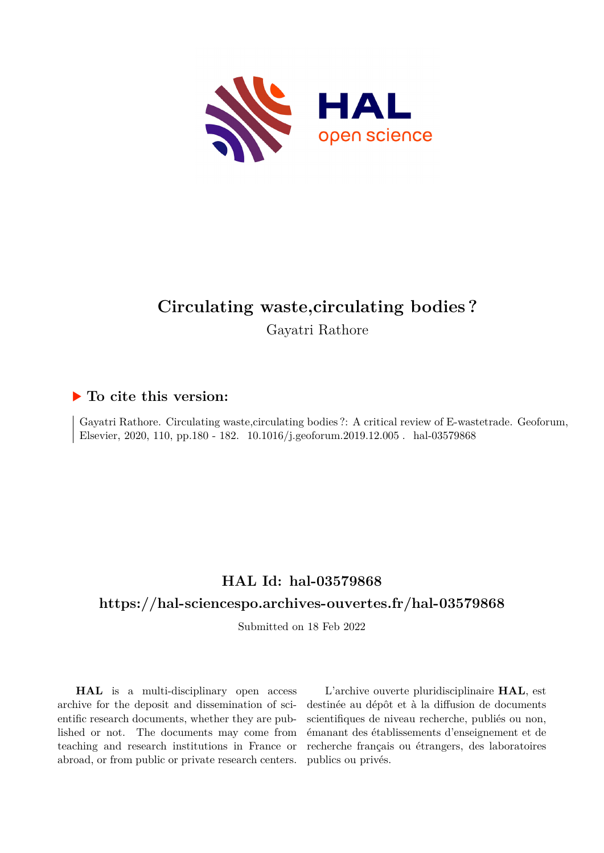

# **Circulating waste,circulating bodies ?** Gayatri Rathore

## **To cite this version:**

Gayatri Rathore. Circulating waste,circulating bodies ?: A critical review of E-wastetrade. Geoforum, Elsevier, 2020, 110, pp.180 - 182. 10.1016/j.geoforum.2019.12.005. hal-03579868

## **HAL Id: hal-03579868**

## **<https://hal-sciencespo.archives-ouvertes.fr/hal-03579868>**

Submitted on 18 Feb 2022

**HAL** is a multi-disciplinary open access archive for the deposit and dissemination of scientific research documents, whether they are published or not. The documents may come from teaching and research institutions in France or abroad, or from public or private research centers.

L'archive ouverte pluridisciplinaire **HAL**, est destinée au dépôt et à la diffusion de documents scientifiques de niveau recherche, publiés ou non, émanant des établissements d'enseignement et de recherche français ou étrangers, des laboratoires publics ou privés.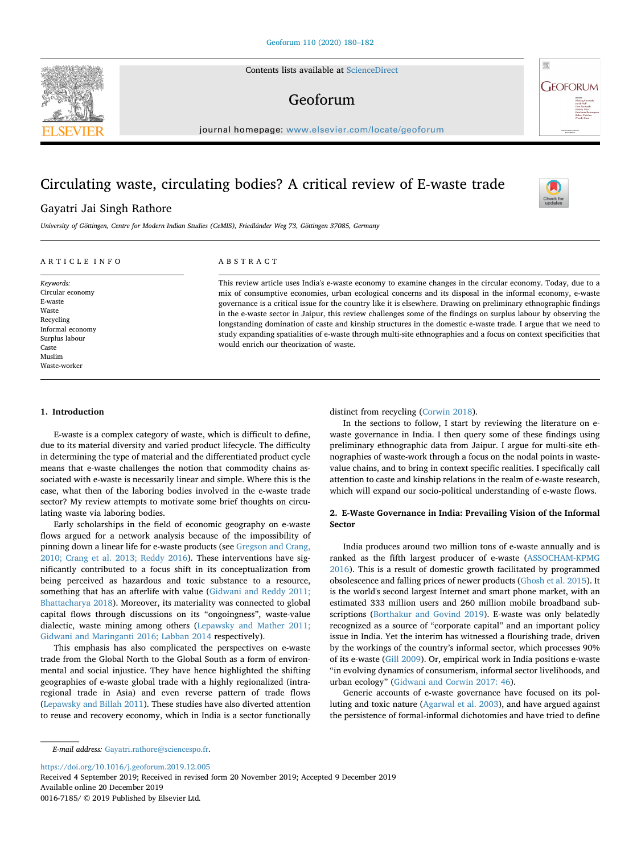Contents lists available at [ScienceDirect](http://www.sciencedirect.com/science/journal/00167185)

### Geoforum

journal homepage: [www.elsevier.com/locate/geoforum](https://www.elsevier.com/locate/geoforum)

### Circulating waste, circulating bodies? A critical review of E-waste trade

### Gayatri Jai Singh Rathore

*University of Göttingen, Centre for Modern Indian Studies (CeMIS), Friedländer Weg 73, Göttingen 37085, Germany*

#### ARTICLE INFO

*Keywords:* Circular economy E-waste Waste Recycling Informal economy Surplus labour Caste Muslim Waste-worker

#### ABSTRACT

This review article uses India's e-waste economy to examine changes in the circular economy. Today, due to a mix of consumptive economies, urban ecological concerns and its disposal in the informal economy, e-waste governance is a critical issue for the country like it is elsewhere. Drawing on preliminary ethnographic findings in the e-waste sector in Jaipur, this review challenges some of the findings on surplus labour by observing the longstanding domination of caste and kinship structures in the domestic e-waste trade. I argue that we need to study expanding spatialities of e-waste through multi-site ethnographies and a focus on context specificities that would enrich our theorization of waste.

#### **1. Introduction**

E-waste is a complex category of waste, which is difficult to define, due to its material diversity and varied product lifecycle. The difficulty in determining the type of material and the differentiated product cycle means that e-waste challenges the notion that commodity chains associated with e-waste is necessarily linear and simple. Where this is the case, what then of the laboring bodies involved in the e-waste trade sector? My review attempts to motivate some brief thoughts on circulating waste via laboring bodies.

Early scholarships in the field of economic geography on e-waste flows argued for a network analysis because of the impossibility of pinning down a linear life for e-waste products (see Gregson and Crang, 2010; Crang et al. 2013; Reddy 2016). These interventions have significantly contributed to a focus shift in its conceptualization from being perceived as hazardous and toxic substance to a resource, something that has an afterlife with value (Gidwani and Reddy 2011; Bhattacharya 2018). Moreover, its materiality was connected to global capital flows through discussions on its "ongoingness", waste-value dialectic, waste mining among others (Lepawsky and Mather 2011; Gidwani and Maringanti 2016; Labban 2014 respectively).

This emphasis has also complicated the perspectives on e-waste trade from the Global North to the Global South as a form of environmental and social injustice. They have hence highlighted the shifting geographies of e-waste global trade with a highly regionalized (intraregional trade in Asia) and even reverse pattern of trade flows (Lepawsky and Billah 2011). These studies have also diverted attention to reuse and recovery economy, which in India is a sector functionally distinct from recycling (Corwin 2018).

In the sections to follow, I start by reviewing the literature on ewaste governance in India. I then query some of these findings using preliminary ethnographic data from Jaipur. I argue for multi-site ethnographies of waste-work through a focus on the nodal points in wastevalue chains, and to bring in context specific realities. I specifically call attention to caste and kinship relations in the realm of e-waste research, which will expand our socio-political understanding of e-waste flows.

#### **2. E-Waste Governance in India: Prevailing Vision of the Informal Sector**

India produces around two million tons of e-waste annually and is ranked as the fifth largest producer of e-waste (ASSOCHAM-KPMG 2016). This is a result of domestic growth facilitated by programmed obsolescence and falling prices of newer products (Ghosh et al. 2015). It is the world's second largest Internet and smart phone market, with an estimated 333 million users and 260 million mobile broadband subscriptions (Borthakur and Govind 2019). E-waste was only belatedly recognized as a source of "corporate capital" and an important policy issue in India. Yet the interim has witnessed a flourishing trade, driven by the workings of the country's informal sector, which processes 90% of its e-waste (Gill 2009). Or, empirical work in India positions e-waste "in evolving dynamics of consumerism, informal sector livelihoods, and urban ecology" (Gidwani and Corwin 2017: 46).

Generic accounts of e-waste governance have focused on its polluting and toxic nature (Agarwal et al. 2003), and have argued against the persistence of formal-informal dichotomies and have tried to define

*E-mail address:* [Gayatri.rathore@sciencespo.fr.](mailto:Gayatri.rathore@sciencespo.fr)

<https://doi.org/10.1016/j.geoforum.2019.12.005>

Received 4 September 2019; Received in revised form 20 November 2019; Accepted 9 December 2019 Available online 20 December 2019

0016-7185/ © 2019 Published by Elsevier Ltd.





 $\frac{N}{2}$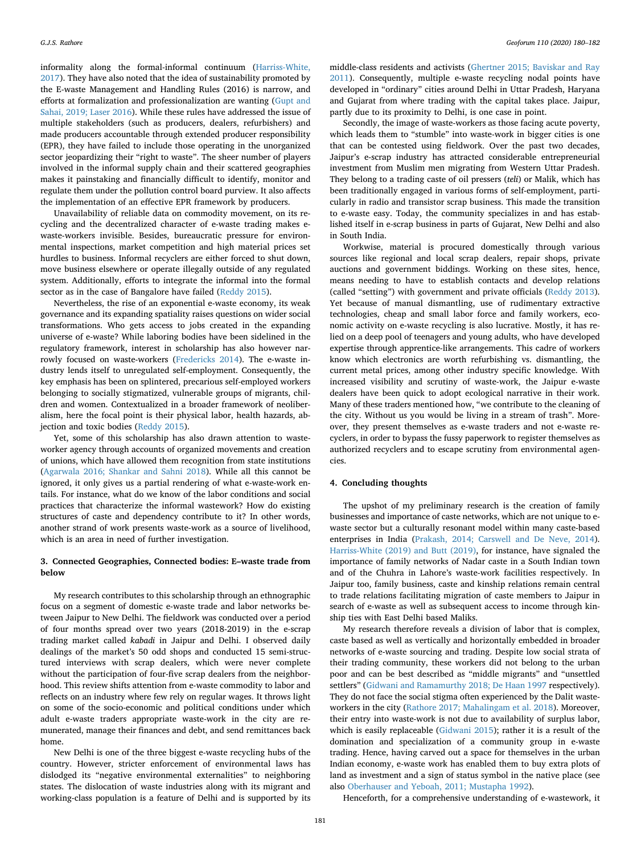informality along the formal-informal continuum (Harriss-White, 2017). They have also noted that the idea of sustainability promoted by the E-waste Management and Handling Rules (2016) is narrow, and efforts at formalization and professionalization are wanting (Gupt and Sahai, 2019; Laser 2016). While these rules have addressed the issue of multiple stakeholders (such as producers, dealers, refurbishers) and made producers accountable through extended producer responsibility (EPR), they have failed to include those operating in the unorganized sector jeopardizing their "right to waste". The sheer number of players involved in the informal supply chain and their scattered geographies makes it painstaking and financially difficult to identify, monitor and regulate them under the pollution control board purview. It also affects the implementation of an effective EPR framework by producers.

Unavailability of reliable data on commodity movement, on its recycling and the decentralized character of e-waste trading makes ewaste-workers invisible. Besides, bureaucratic pressure for environmental inspections, market competition and high material prices set hurdles to business. Informal recyclers are either forced to shut down, move business elsewhere or operate illegally outside of any regulated system. Additionally, efforts to integrate the informal into the formal sector as in the case of Bangalore have failed (Reddy 2015).

Nevertheless, the rise of an exponential e-waste economy, its weak governance and its expanding spatiality raises questions on wider social transformations. Who gets access to jobs created in the expanding universe of e-waste? While laboring bodies have been sidelined in the regulatory framework, interest in scholarship has also however narrowly focused on waste-workers (Fredericks 2014). The e-waste industry lends itself to unregulated self-employment. Consequently, the key emphasis has been on splintered, precarious self-employed workers belonging to socially stigmatized, vulnerable groups of migrants, children and women. Contextualized in a broader framework of neoliberalism, here the focal point is their physical labor, health hazards, abjection and toxic bodies (Reddy 2015).

Yet, some of this scholarship has also drawn attention to wasteworker agency through accounts of organized movements and creation of unions, which have allowed them recognition from state institutions (Agarwala 2016; Shankar and Sahni 2018). While all this cannot be ignored, it only gives us a partial rendering of what e-waste-work entails. For instance, what do we know of the labor conditions and social practices that characterize the informal wastework? How do existing structures of caste and dependency contribute to it? In other words, another strand of work presents waste-work as a source of livelihood, which is an area in need of further investigation.

#### **3. Connected Geographies, Connected bodies: E–waste trade from below**

My research contributes to this scholarship through an ethnographic focus on a segment of domestic e-waste trade and labor networks between Jaipur to New Delhi. The fieldwork was conducted over a period of four months spread over two years (2018-2019) in the e-scrap trading market called *kabadi* in Jaipur and Delhi. I observed daily dealings of the market's 50 odd shops and conducted 15 semi-structured interviews with scrap dealers, which were never complete without the participation of four-five scrap dealers from the neighborhood. This review shifts attention from e-waste commodity to labor and reflects on an industry where few rely on regular wages. It throws light on some of the socio-economic and political conditions under which adult e-waste traders appropriate waste-work in the city are remunerated, manage their finances and debt, and send remittances back home.

New Delhi is one of the three biggest e-waste recycling hubs of the country. However, stricter enforcement of environmental laws has dislodged its "negative environmental externalities" to neighboring states. The dislocation of waste industries along with its migrant and working-class population is a feature of Delhi and is supported by its middle-class residents and activists (Ghertner 2015; Baviskar and Ray 2011). Consequently, multiple e-waste recycling nodal points have developed in "ordinary" cities around Delhi in Uttar Pradesh, Haryana and Gujarat from where trading with the capital takes place. Jaipur, partly due to its proximity to Delhi, is one case in point.

Secondly, the image of waste-workers as those facing acute poverty, which leads them to "stumble" into waste-work in bigger cities is one that can be contested using fieldwork. Over the past two decades, Jaipur's e-scrap industry has attracted considerable entrepreneurial investment from Muslim men migrating from Western Uttar Pradesh. They belong to a trading caste of oil pressers (*teli*) or Malik, which has been traditionally engaged in various forms of self-employment, particularly in radio and transistor scrap business. This made the transition to e-waste easy. Today, the community specializes in and has established itself in e-scrap business in parts of Gujarat, New Delhi and also in South India.

Workwise, material is procured domestically through various sources like regional and local scrap dealers, repair shops, private auctions and government biddings. Working on these sites, hence, means needing to have to establish contacts and develop relations (called "setting") with government and private officials (Reddy 2013). Yet because of manual dismantling, use of rudimentary extractive technologies, cheap and small labor force and family workers, economic activity on e-waste recycling is also lucrative. Mostly, it has relied on a deep pool of teenagers and young adults, who have developed expertise through apprentice-like arrangements. This cadre of workers know which electronics are worth refurbishing vs. dismantling, the current metal prices, among other industry specific knowledge. With increased visibility and scrutiny of waste-work, the Jaipur e-waste dealers have been quick to adopt ecological narrative in their work. Many of these traders mentioned how, "we contribute to the cleaning of the city. Without us you would be living in a stream of trash". Moreover, they present themselves as e-waste traders and not e-waste recyclers, in order to bypass the fussy paperwork to register themselves as authorized recyclers and to escape scrutiny from environmental agencies.

#### **4. Concluding thoughts**

The upshot of my preliminary research is the creation of family businesses and importance of caste networks, which are not unique to ewaste sector but a culturally resonant model within many caste-based enterprises in India (Prakash, 2014; Carswell and De Neve, 2014). Harriss-White (2019) and Butt (2019), for instance, have signaled the importance of family networks of Nadar caste in a South Indian town and of the Chuhra in Lahore's waste-work facilities respectively. In Jaipur too, family business, caste and kinship relations remain central to trade relations facilitating migration of caste members to Jaipur in search of e-waste as well as subsequent access to income through kinship ties with East Delhi based Maliks.

My research therefore reveals a division of labor that is complex, caste based as well as vertically and horizontally embedded in broader networks of e-waste sourcing and trading. Despite low social strata of their trading community, these workers did not belong to the urban poor and can be best described as "middle migrants" and "unsettled settlers" (Gidwani and Ramamurthy 2018; De Haan 1997 respectively). They do not face the social stigma often experienced by the Dalit wasteworkers in the city (Rathore 2017; Mahalingam et al. 2018). Moreover, their entry into waste-work is not due to availability of surplus labor, which is easily replaceable (Gidwani 2015); rather it is a result of the domination and specialization of a community group in e-waste trading. Hence, having carved out a space for themselves in the urban Indian economy, e-waste work has enabled them to buy extra plots of land as investment and a sign of status symbol in the native place (see also Oberhauser and Yeboah, 2011; Mustapha 1992).

Henceforth, for a comprehensive understanding of e-wastework, it